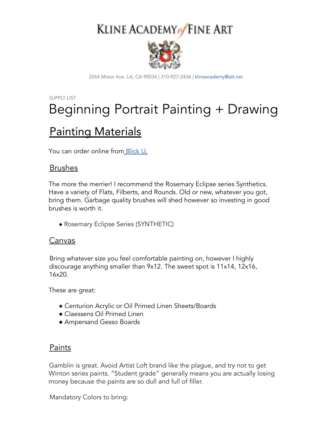# KLINE ACADEMY of FINE ART



3264 Motor Ave. LA, CA 90034 | 310-927-2436 | klineacademy@att.net

### SUPPLY LIST Beginning Portrait Painting + Drawing

### Painting Materials

You can order online from Blick U.

### Brushes

The more the merrier! I recommend the Rosemary Eclipse series Synthetics. Have a variety of Flats, Filberts, and Rounds. Old or new, whatever you got, bring them. Garbage quality brushes will shed however so investing in good brushes is worth it.

• Rosemary Eclipse Series (SYNTHETIC)

### Canvas

Bring whatever size you feel comfortable painting on, however I highly discourage anything smaller than 9x12. The sweet spot is 11x14, 12x16, 16x20.

These are great:

- Centurion Acrylic or Oil Primed Linen Sheets/Boards
- Claessens Oil Primed Linen
- Ampersand Gesso Boards

### Paints

Gamblin is great. Avoid Artist Loft brand like the plague, and try not to get Winton series paints. "Student grade" generally means you are actually losing money because the paints are so dull and full of filler.

Mandatory Colors to bring: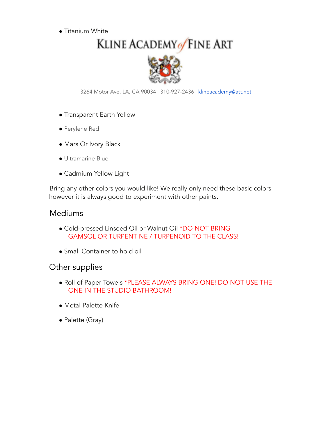● Titanium White

## KLINE ACADEMY of FINE ART



3264 Motor Ave. LA, CA 90034 | 310-927-2436 | klineacademy@att.net

- Transparent Earth Yellow
- Perylene Red
- Mars Or Ivory Black
- Ultramarine Blue
- Cadmium Yellow Light

Bring any other colors you would like! We really only need these basic colors however it is always good to experiment with other paints.

### Mediums

- Cold-pressed Linseed Oil or Walnut Oil \*DO NOT BRING GAMSOL OR TURPENTINE / TURPENOID TO THE CLASS!
- Small Container to hold oil

### Other supplies

- Roll of Paper Towels \*PLEASE ALWAYS BRING ONE! DO NOT USE THE ONE IN THE STUDIO BATHROOM!
- Metal Palette Knife
- Palette (Gray)